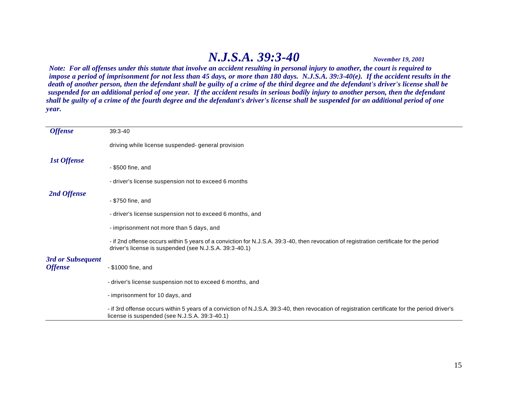## *N.J.S.A. 39:3-40 November 19, 2001*

*Note: For all offenses under this statute that involve an accident resulting in personal injury to another, the court is required to impose a period of imprisonment for not less than 45 days, or more than 180 days. N.J.S.A. 39:3-40(e). If the accident results in the death of another person, then the defendant shall be guilty of a crime of the third degree and the defendant's driver's license shall be suspended for an additional period of one year. If the accident results in serious bodily injury to another person, then the defendant shall be guilty of a crime of the fourth degree and the defendant's driver's license shall be suspended for an additional period of one year.*

| <b>Offense</b>                      | $39:3 - 40$                                                                                                                                                                                       |
|-------------------------------------|---------------------------------------------------------------------------------------------------------------------------------------------------------------------------------------------------|
|                                     | driving while license suspended-general provision                                                                                                                                                 |
| <b>1st Offense</b>                  | - \$500 fine, and                                                                                                                                                                                 |
|                                     | - driver's license suspension not to exceed 6 months                                                                                                                                              |
| 2nd Offense                         |                                                                                                                                                                                                   |
|                                     | - \$750 fine, and                                                                                                                                                                                 |
|                                     | - driver's license suspension not to exceed 6 months, and                                                                                                                                         |
|                                     | - imprisonment not more than 5 days, and                                                                                                                                                          |
|                                     | - if 2nd offense occurs within 5 years of a conviction for N.J.S.A. 39:3-40, then revocation of registration certificate for the period<br>driver's license is suspended (see N.J.S.A. 39:3-40.1) |
| 3rd or Subsequent<br><b>Offense</b> | - \$1000 fine, and                                                                                                                                                                                |
|                                     | - driver's license suspension not to exceed 6 months, and                                                                                                                                         |
|                                     | - imprisonment for 10 days, and                                                                                                                                                                   |
|                                     | - if 3rd offense occurs within 5 years of a conviction of N.J.S.A. 39:3-40, then revocation of registration certificate for the period driver's<br>license is suspended (see N.J.S.A. 39:3-40.1)  |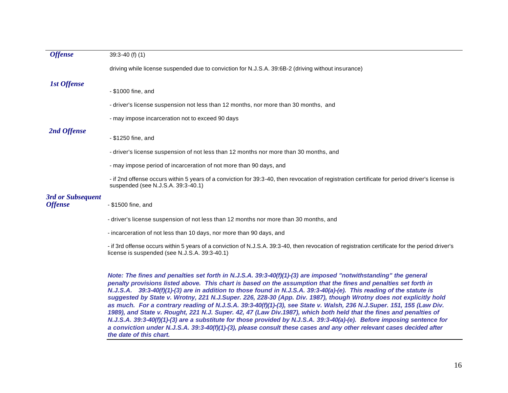| <b>Offense</b>     | $39:3 - 40$ (f) (1)                                                                                                                                                                                                                                                                                                                                                                                                                                                                                                                                                                                                                                                                                                                                                                                                                                                                                                                                                                  |
|--------------------|--------------------------------------------------------------------------------------------------------------------------------------------------------------------------------------------------------------------------------------------------------------------------------------------------------------------------------------------------------------------------------------------------------------------------------------------------------------------------------------------------------------------------------------------------------------------------------------------------------------------------------------------------------------------------------------------------------------------------------------------------------------------------------------------------------------------------------------------------------------------------------------------------------------------------------------------------------------------------------------|
|                    | driving while license suspended due to conviction for N.J.S.A. 39:6B-2 (driving without insurance)                                                                                                                                                                                                                                                                                                                                                                                                                                                                                                                                                                                                                                                                                                                                                                                                                                                                                   |
| <b>1st Offense</b> |                                                                                                                                                                                                                                                                                                                                                                                                                                                                                                                                                                                                                                                                                                                                                                                                                                                                                                                                                                                      |
|                    | - \$1000 fine, and                                                                                                                                                                                                                                                                                                                                                                                                                                                                                                                                                                                                                                                                                                                                                                                                                                                                                                                                                                   |
|                    | - driver's license suspension not less than 12 months, nor more than 30 months, and                                                                                                                                                                                                                                                                                                                                                                                                                                                                                                                                                                                                                                                                                                                                                                                                                                                                                                  |
|                    | - may impose incarceration not to exceed 90 days                                                                                                                                                                                                                                                                                                                                                                                                                                                                                                                                                                                                                                                                                                                                                                                                                                                                                                                                     |
| 2nd Offense        |                                                                                                                                                                                                                                                                                                                                                                                                                                                                                                                                                                                                                                                                                                                                                                                                                                                                                                                                                                                      |
|                    | - \$1250 fine, and                                                                                                                                                                                                                                                                                                                                                                                                                                                                                                                                                                                                                                                                                                                                                                                                                                                                                                                                                                   |
|                    | - driver's license suspension of not less than 12 months nor more than 30 months, and                                                                                                                                                                                                                                                                                                                                                                                                                                                                                                                                                                                                                                                                                                                                                                                                                                                                                                |
|                    | - may impose period of incarceration of not more than 90 days, and                                                                                                                                                                                                                                                                                                                                                                                                                                                                                                                                                                                                                                                                                                                                                                                                                                                                                                                   |
|                    | - if 2nd offense occurs within 5 years of a conviction for 39:3-40, then revocation of registration certificate for period driver's license is<br>suspended (see N.J.S.A. 39:3-40.1)                                                                                                                                                                                                                                                                                                                                                                                                                                                                                                                                                                                                                                                                                                                                                                                                 |
| 3rd or Subsequent  |                                                                                                                                                                                                                                                                                                                                                                                                                                                                                                                                                                                                                                                                                                                                                                                                                                                                                                                                                                                      |
| <b>Offense</b>     | - \$1500 fine, and                                                                                                                                                                                                                                                                                                                                                                                                                                                                                                                                                                                                                                                                                                                                                                                                                                                                                                                                                                   |
|                    | - driver's license suspension of not less than 12 months nor more than 30 months, and                                                                                                                                                                                                                                                                                                                                                                                                                                                                                                                                                                                                                                                                                                                                                                                                                                                                                                |
|                    | - incarceration of not less than 10 days, nor more than 90 days, and                                                                                                                                                                                                                                                                                                                                                                                                                                                                                                                                                                                                                                                                                                                                                                                                                                                                                                                 |
|                    | - if 3rd offense occurs within 5 years of a conviction of N.J.S.A. 39:3-40, then revocation of registration certificate for the period driver's<br>license is suspended (see N.J.S.A. 39:3-40.1)                                                                                                                                                                                                                                                                                                                                                                                                                                                                                                                                                                                                                                                                                                                                                                                     |
|                    | Note: The fines and penalties set forth in N.J.S.A. 39:3-40(f)(1)-(3) are imposed "notwithstanding" the general<br>penalty provisions listed above. This chart is based on the assumption that the fines and penalties set forth in<br>N.J.S.A. $39:3-40(f)(1)$ -(3) are in addition to those found in N.J.S.A. 39:3-40(a)-(e). This reading of the statute is<br>suggested by State v. Wrotny, 221 N.J.Super. 226, 228-30 (App. Div. 1987), though Wrotny does not explicitly hold<br>as much. For a contrary reading of N.J.S.A. 39:3-40(f)(1)-(3), see State v. Walsh, 236 N.J.Super. 151, 155 (Law Div.<br>1989), and State v. Rought, 221 N.J. Super. 42, 47 (Law Div.1987), which both held that the fines and penalties of<br>N.J.S.A. 39:3-40(f)(1)-(3) are a substitute for those provided by N.J.S.A. 39:3-40(a)-(e). Before imposing sentence for<br>a conviction under N.J.S.A. 39:3-40(f)(1)-(3), please consult these cases and any other relevant cases decided after |

*the date of this chart.*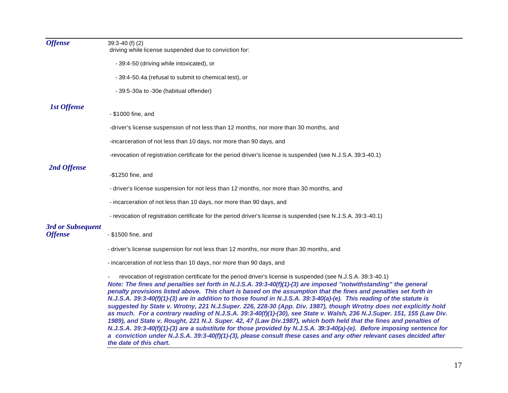| <b>Offense</b>                      | $39:3 - 40$ (f) (2)<br>driving while license suspended due to conviction for:                                                                                                                                                                                                                                                                                                                                                                                                                                                                                                                                                                                                                                                                                                                                                                                                                                                                                                                                                                                                                      |
|-------------------------------------|----------------------------------------------------------------------------------------------------------------------------------------------------------------------------------------------------------------------------------------------------------------------------------------------------------------------------------------------------------------------------------------------------------------------------------------------------------------------------------------------------------------------------------------------------------------------------------------------------------------------------------------------------------------------------------------------------------------------------------------------------------------------------------------------------------------------------------------------------------------------------------------------------------------------------------------------------------------------------------------------------------------------------------------------------------------------------------------------------|
|                                     | - 39:4-50 (driving while intoxicated), or                                                                                                                                                                                                                                                                                                                                                                                                                                                                                                                                                                                                                                                                                                                                                                                                                                                                                                                                                                                                                                                          |
|                                     | -39:4-50.4a (refusal to submit to chemical test), or                                                                                                                                                                                                                                                                                                                                                                                                                                                                                                                                                                                                                                                                                                                                                                                                                                                                                                                                                                                                                                               |
|                                     | - 39:5-30a to -30e (habitual offender)                                                                                                                                                                                                                                                                                                                                                                                                                                                                                                                                                                                                                                                                                                                                                                                                                                                                                                                                                                                                                                                             |
| <b>1st Offense</b>                  |                                                                                                                                                                                                                                                                                                                                                                                                                                                                                                                                                                                                                                                                                                                                                                                                                                                                                                                                                                                                                                                                                                    |
|                                     | - \$1000 fine, and                                                                                                                                                                                                                                                                                                                                                                                                                                                                                                                                                                                                                                                                                                                                                                                                                                                                                                                                                                                                                                                                                 |
|                                     | -driver's license suspension of not less than 12 months, nor more than 30 months, and                                                                                                                                                                                                                                                                                                                                                                                                                                                                                                                                                                                                                                                                                                                                                                                                                                                                                                                                                                                                              |
|                                     | -incarceration of not less than 10 days, nor more than 90 days, and                                                                                                                                                                                                                                                                                                                                                                                                                                                                                                                                                                                                                                                                                                                                                                                                                                                                                                                                                                                                                                |
|                                     | -revocation of registration certificate for the period driver's license is suspended (see N.J.S.A. 39:3-40.1)                                                                                                                                                                                                                                                                                                                                                                                                                                                                                                                                                                                                                                                                                                                                                                                                                                                                                                                                                                                      |
| 2nd Offense                         |                                                                                                                                                                                                                                                                                                                                                                                                                                                                                                                                                                                                                                                                                                                                                                                                                                                                                                                                                                                                                                                                                                    |
|                                     | -\$1250 fine, and                                                                                                                                                                                                                                                                                                                                                                                                                                                                                                                                                                                                                                                                                                                                                                                                                                                                                                                                                                                                                                                                                  |
|                                     | - driver's license suspension for not less than 12 months, nor more than 30 months, and                                                                                                                                                                                                                                                                                                                                                                                                                                                                                                                                                                                                                                                                                                                                                                                                                                                                                                                                                                                                            |
|                                     | - incarceration of not less than 10 days, nor more than 90 days, and                                                                                                                                                                                                                                                                                                                                                                                                                                                                                                                                                                                                                                                                                                                                                                                                                                                                                                                                                                                                                               |
|                                     | - revocation of registration certificate for the period driver's license is suspended (see N.J.S.A. 39:3-40.1)                                                                                                                                                                                                                                                                                                                                                                                                                                                                                                                                                                                                                                                                                                                                                                                                                                                                                                                                                                                     |
| 3rd or Subsequent<br><b>Offense</b> | - \$1500 fine, and                                                                                                                                                                                                                                                                                                                                                                                                                                                                                                                                                                                                                                                                                                                                                                                                                                                                                                                                                                                                                                                                                 |
|                                     | - driver's license suspension for not less than 12 months, nor more than 30 months, and                                                                                                                                                                                                                                                                                                                                                                                                                                                                                                                                                                                                                                                                                                                                                                                                                                                                                                                                                                                                            |
|                                     | - incarceration of not less than 10 days, nor more than 90 days, and                                                                                                                                                                                                                                                                                                                                                                                                                                                                                                                                                                                                                                                                                                                                                                                                                                                                                                                                                                                                                               |
|                                     | revocation of registration certificate for the period driver's license is suspended (see N.J.S.A. 39:3-40.1)<br>Note: The fines and penalties set forth in N.J.S.A. 39:3-40(f)(1)-(3) are imposed "notwithstanding" the general<br>penalty provisions listed above. This chart is based on the assumption that the fines and penalties set forth in<br>N.J.S.A. 39:3-40(f)(1)-(3) are in addition to those found in N.J.S.A. 39:3-40(a)-(e). This reading of the statute is<br>suggested by State v. Wrotny, 221 N.J.Super. 226, 228-30 (App. Div. 1987), though Wrotny does not explicitly hold<br>as much. For a contrary reading of N.J.S.A. 39:3-40(f)(1)-(30), see State v. Walsh, 236 N.J.Super. 151, 155 (Law Div.<br>1989), and State v. Rought, 221 N.J. Super. 42, 47 (Law Div.1987), which both held that the fines and penalties of<br>N.J.S.A. 39:3-40(f)(1)-(3) are a substitute for those provided by N.J.S.A. 39:3-40(a)-(e). Before imposing sentence for<br>a conviction under N.J.S.A. 39:3-40(f)(1)-(3), please consult these cases and any other relevant cases decided after |

*the date of this chart.*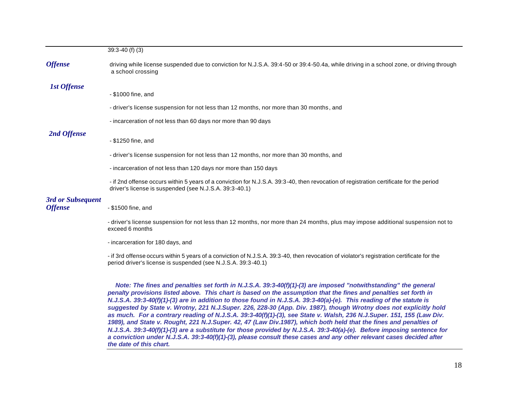|                                     | $39:3 - 40$ (f) (3)                                                                                                                                                                               |
|-------------------------------------|---------------------------------------------------------------------------------------------------------------------------------------------------------------------------------------------------|
| <b>Offense</b>                      | driving while license suspended due to conviction for N.J.S.A. 39:4-50 or 39:4-50.4a, while driving in a school zone, or driving through<br>a school crossing                                     |
| <b>1st Offense</b>                  |                                                                                                                                                                                                   |
|                                     | - \$1000 fine, and                                                                                                                                                                                |
|                                     | - driver's license suspension for not less than 12 months, nor more than 30 months, and                                                                                                           |
|                                     | - incarceration of not less than 60 days nor more than 90 days                                                                                                                                    |
| 2nd Offense                         |                                                                                                                                                                                                   |
|                                     | - \$1250 fine, and                                                                                                                                                                                |
|                                     | - driver's license suspension for not less than 12 months, nor more than 30 months, and                                                                                                           |
|                                     | - incarceration of not less than 120 days nor more than 150 days                                                                                                                                  |
|                                     | - if 2nd offense occurs within 5 years of a conviction for N.J.S.A. 39:3-40, then revocation of registration certificate for the period<br>driver's license is suspended (see N.J.S.A. 39:3-40.1) |
| 3rd or Subsequent<br><b>Offense</b> | - \$1500 fine, and                                                                                                                                                                                |
|                                     | - driver's license suspension for not less than 12 months, nor more than 24 months, plus may impose additional suspension not to<br>exceed 6 months                                               |
|                                     | - incarceration for 180 days, and                                                                                                                                                                 |
|                                     | if and offense secure within Execuse of a conviction of NUIOA, 2002,40,then revession of violeterly registration certificate for the                                                              |

- if 3rd offense occurs within 5 years of a conviction of N.J.S.A. 39:3-40, then revocation of violator's registration certificate for the period driver's license is suspended (see N.J.S.A. 39:3-40.1)

*Note: The fines and penalties set forth in N.J.S.A. 39:3-40(f)(1)-(3) are imposed "notwithstanding" the general penalty provisions listed above. This chart is based on the assumption that the fines and penalties set forth in N.J.S.A. 39:3-40(f)(1)-(3) are in addition to those found in N.J.S.A. 39:3-40(a)-(e). This reading of the statute is suggested by State v. Wrotny, 221 N.J.Super. 226, 228-30 (App. Div. 1987), though Wrotny does not explicitly hold as much. For a contrary reading of N.J.S.A. 39:3-40(f)(1)-(3), see State v. Walsh, 236 N.J.Super. 151, 155 (Law Div. 1989), and State v. Rought, 221 N.J.Super. 42, 47 (Law Div.1987), which both held that the fines and penalties of N.J.S.A. 39:3-40(f)(1)-(3) are a substitute for those provided by N.J.S.A. 39:3-40(a)-(e). Before imposing sentence for a conviction under N.J.S.A. 39:3-40(f)(1)-(3), please consult these cases and any other relevant cases decided after the date of this chart.*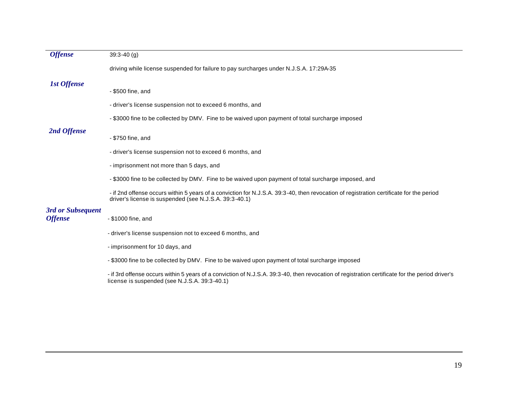| <b>Offense</b>     | $39:3 - 40$ (g)                                                                                                                                                                                   |
|--------------------|---------------------------------------------------------------------------------------------------------------------------------------------------------------------------------------------------|
|                    | driving while license suspended for failure to pay surcharges under N.J.S.A. 17:29A-35                                                                                                            |
| <b>1st Offense</b> |                                                                                                                                                                                                   |
|                    | - \$500 fine, and                                                                                                                                                                                 |
|                    | - driver's license suspension not to exceed 6 months, and                                                                                                                                         |
|                    | - \$3000 fine to be collected by DMV. Fine to be waived upon payment of total surcharge imposed                                                                                                   |
| 2nd Offense        | - \$750 fine, and                                                                                                                                                                                 |
|                    |                                                                                                                                                                                                   |
|                    | - driver's license suspension not to exceed 6 months, and                                                                                                                                         |
|                    | - imprisonment not more than 5 days, and                                                                                                                                                          |
|                    | - \$3000 fine to be collected by DMV. Fine to be waived upon payment of total surcharge imposed, and                                                                                              |
|                    | - if 2nd offense occurs within 5 years of a conviction for N.J.S.A. 39:3-40, then revocation of registration certificate for the period<br>driver's license is suspended (see N.J.S.A. 39:3-40.1) |
| 3rd or Subsequent  |                                                                                                                                                                                                   |
| <b>Offense</b>     | - \$1000 fine, and                                                                                                                                                                                |
|                    | - driver's license suspension not to exceed 6 months, and                                                                                                                                         |
|                    | - imprisonment for 10 days, and                                                                                                                                                                   |
|                    | - \$3000 fine to be collected by DMV. Fine to be waived upon payment of total surcharge imposed                                                                                                   |
|                    |                                                                                                                                                                                                   |

- if 3rd offense occurs within 5 years of a conviction of N.J.S.A. 39:3-40, then revocation of registration certificate for the period driver's license is suspended (see N.J.S.A. 39:3-40.1)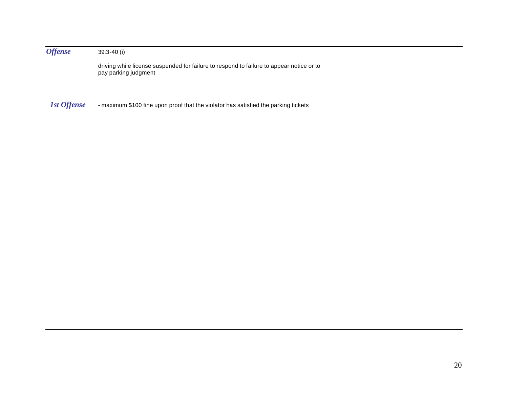*Offense* 39:3-40 (i)

driving while license suspended for failure to respond to failure to appear notice or to pay parking judgment

*1st Offense* - maximum \$100 fine upon proof that the violator has satisfied the parking tickets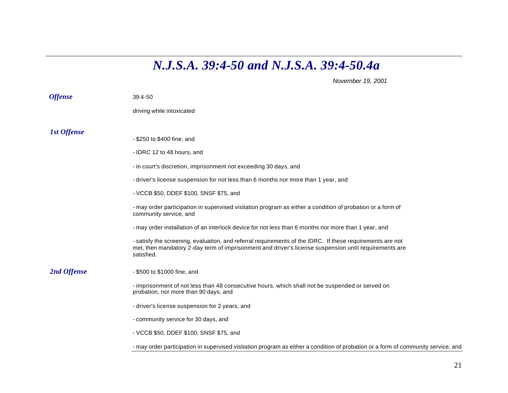## *N.J.S.A. 39:4-50 and N.J.S.A. 39:4-50.4a*

*November 19, 2001*

| <b>Offense</b> | $39:4 - 50$                                                                                                                                                                                                                      |
|----------------|----------------------------------------------------------------------------------------------------------------------------------------------------------------------------------------------------------------------------------|
|                | driving while intoxicated                                                                                                                                                                                                        |
| 1st Offense    |                                                                                                                                                                                                                                  |
|                | - \$250 to \$400 fine, and                                                                                                                                                                                                       |
|                | - IDRC 12 to 48 hours, and                                                                                                                                                                                                       |
|                | - in court's discretion, imprisonment not exceeding 30 days, and                                                                                                                                                                 |
|                | - driver's license suspension for not less than 6 months nor more than 1 year, and                                                                                                                                               |
|                | - VCCB \$50, DDEF \$100, SNSF \$75, and                                                                                                                                                                                          |
|                | - may order participation in supervised visitation program as either a condition of probation or a form of<br>community service, and                                                                                             |
|                | - may order installation of an interlock device for not less than 6 months nor more than 1 year, and                                                                                                                             |
|                | - satisfy the screening, evaluation, and referral requirements of the IDRC. If these requirements are not<br>met, then mandatory 2-day term of imprisonment and driver's license suspension until requirements are<br>satisfied. |
| 2nd Offense    | - \$500 to \$1000 fine, and                                                                                                                                                                                                      |
|                | - imprisonment of not less than 48 consecutive hours, which shall not be suspended or served on<br>probation, nor more than 90 days, and                                                                                         |
|                | - driver's license suspension for 2 years, and                                                                                                                                                                                   |
|                | - community service for 30 days, and                                                                                                                                                                                             |
|                | - VCCB \$50, DDEF \$100, SNSF \$75, and                                                                                                                                                                                          |
|                | - may order participation in supervised visitation program as either a condition of probation or a form of community service, and                                                                                                |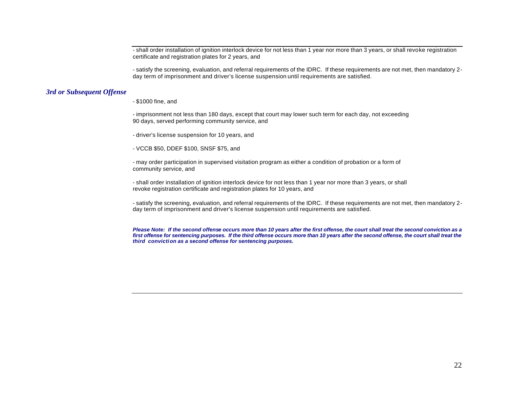- shall order installation of ignition interlock device for not less than 1 year nor more than 3 years, or shall revoke registration certificate and registration plates for 2 years, and

- satisfy the screening, evaluation, and referral requirements of the IDRC. If these requirements are not met, then mandatory 2 day term of imprisonment and driver's license suspension until requirements are satisfied.

## *3rd or Subsequent Offense*

- \$1000 fine, and

- imprisonment not less than 180 days, except that court may lower such term for each day, not exceeding 90 days, served performing community service, and

- driver's license suspension for 10 years, and

- VCCB \$50, DDEF \$100, SNSF \$75, and

- may order participation in supervised visitation program as either a condition of probation or a form of community service, and

- shall order installation of ignition interlock device for not less than 1 year nor more than 3 years, or shall revoke registration certificate and registration plates for 10 years, and

- satisfy the screening, evaluation, and referral requirements of the IDRC. If these requirements are not met, then mandatory 2 day term of imprisonment and driver's license suspension until requirements are satisfied.

*Please Note: If the second offense occurs more than 10 years after the first offense, the court shall treat the second conviction as a first offense for sentencing purposes. If the third offense occurs more than 10 years after the second offense, the court shall treat the third conviction as a second offense for sentencing purposes.*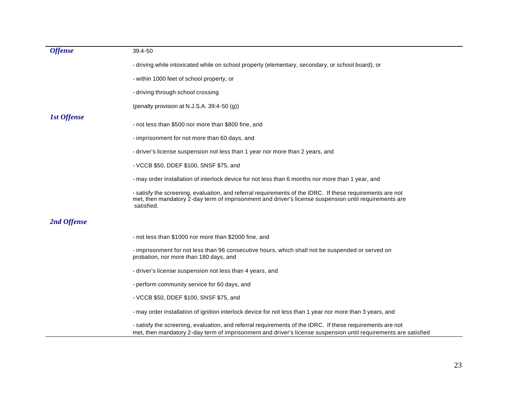| <b>Offense</b>     | $39:4 - 50$                                                                                                                                                                                                                      |
|--------------------|----------------------------------------------------------------------------------------------------------------------------------------------------------------------------------------------------------------------------------|
|                    | - driving while intoxicated while on school property (elementary, secondary, or school board), or                                                                                                                                |
|                    | - within 1000 feet of school property, or                                                                                                                                                                                        |
|                    | - driving through school crossing                                                                                                                                                                                                |
|                    | (penalty provision at N.J.S.A. 39:4-50 (g))                                                                                                                                                                                      |
| <b>1st Offense</b> | - not less than \$500 nor more than \$800 fine, and                                                                                                                                                                              |
|                    | - imprisonment for not more than 60 days, and                                                                                                                                                                                    |
|                    | - driver's license suspension not less than 1 year nor more than 2 years, and                                                                                                                                                    |
|                    | - VCCB \$50, DDEF \$100, SNSF \$75, and                                                                                                                                                                                          |
|                    | - may order installation of interlock device for not less than 6 months nor more than 1 year, and                                                                                                                                |
|                    | - satisfy the screening, evaluation, and referral requirements of the IDRC. If these requirements are not<br>met, then mandatory 2-day term of imprisonment and driver's license suspension until requirements are<br>satisfied. |
| 2nd Offense        |                                                                                                                                                                                                                                  |
|                    | - not less than \$1000 nor more than \$2000 fine, and                                                                                                                                                                            |
|                    | - imprisonment for not less than 96 consecutive hours, which shall not be suspended or served on<br>probation, nor more than 180 days, and                                                                                       |
|                    | - driver's license suspension not less than 4 years, and                                                                                                                                                                         |
|                    | - perform community service for 60 days, and                                                                                                                                                                                     |
|                    | - VCCB \$50, DDEF \$100, SNSF \$75, and                                                                                                                                                                                          |
|                    | - may order installation of ignition interlock device for not less than 1 year nor more than 3 years, and                                                                                                                        |
|                    | - satisfy the screening, evaluation, and referral requirements of the IDRC. If these requirements are not<br>met, then mandatory 2-day term of imprisonment and driver's license suspension until requirements are satisfied     |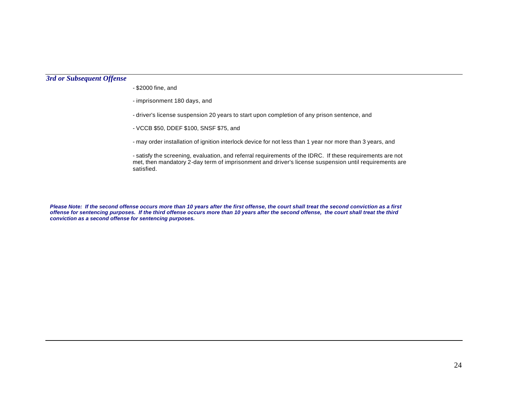## *3rd or Subsequent Offense*

- \$2000 fine, and

- imprisonment 180 days, and

- driver's license suspension 20 years to start upon completion of any prison sentence, and

- VCCB \$50, DDEF \$100, SNSF \$75, and

- may order installation of ignition interlock device for not less than 1 year nor more than 3 years, and

- satisfy the screening, evaluation, and referral requirements of the IDRC. If these requirements are not met, then mandatory 2-day term of imprisonment and driver's license suspension until requirements are satisfied.

*Please Note: If the second offense occurs more than 10 years after the first offense, the court shall treat the second conviction as a first offense for sentencing purposes. If the third offense occurs more than 10 years after the second offense, the court shall treat the third conviction as a second offense for sentencing purposes.*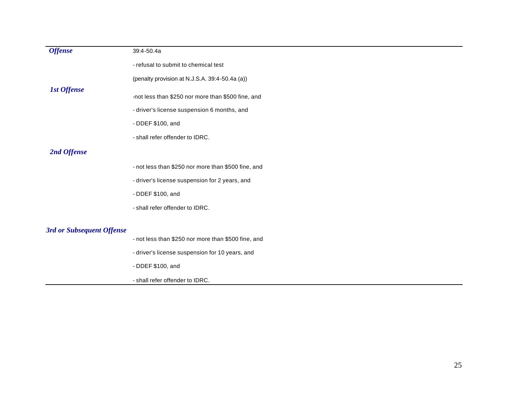| <b>Offense</b>            | 39:4-50.4a                                                                                        |
|---------------------------|---------------------------------------------------------------------------------------------------|
|                           | - refusal to submit to chemical test                                                              |
|                           | (penalty provision at N.J.S.A. 39:4-50.4a (a))                                                    |
| <b>1st Offense</b>        | -not less than \$250 nor more than \$500 fine, and<br>- driver's license suspension 6 months, and |
|                           | - DDEF \$100, and                                                                                 |
|                           | - shall refer offender to IDRC.                                                                   |
| 2nd Offense               |                                                                                                   |
|                           | - not less than \$250 nor more than \$500 fine, and                                               |
|                           | - driver's license suspension for 2 years, and                                                    |
|                           | - DDEF \$100, and                                                                                 |
|                           | - shall refer offender to IDRC.                                                                   |
| 3rd or Subsequent Offense |                                                                                                   |
|                           | - not less than \$250 nor more than \$500 fine, and                                               |
|                           | - driver's license suspension for 10 years, and                                                   |
|                           | - DDEF \$100, and                                                                                 |
|                           | - shall refer offender to IDRC.                                                                   |